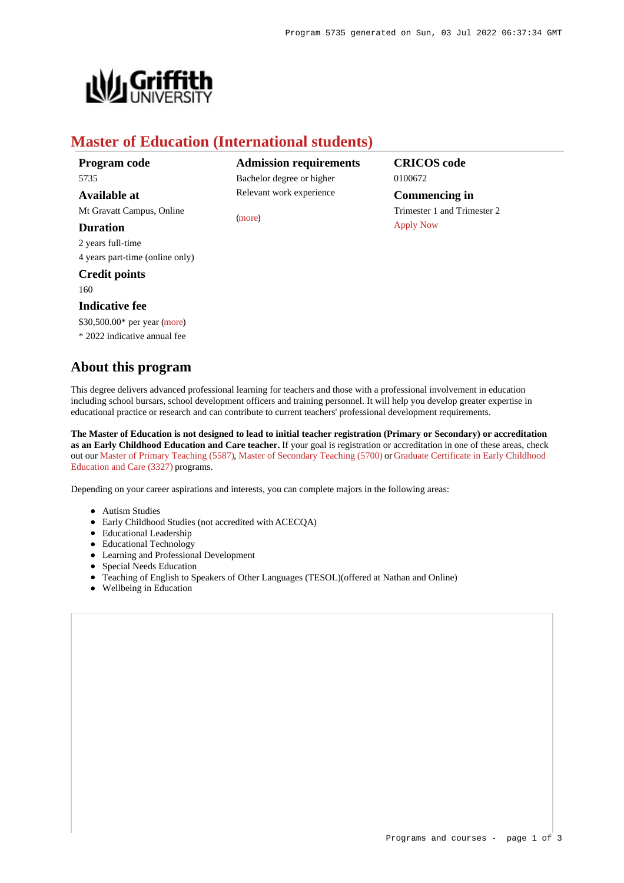

# **Master of Education (International students)**

**Program code** 5735 **Available at**

Mt Gravatt Campus, Online

# **Duration**

2 years full-time 4 years part-time (online only)

# **Credit points**

160

# **Indicative fee**

\$30,500.00\* per year [\(more](https://www148.griffith.edu.au/programs-courses/Program/5735/Overview/International#fees))

\* 2022 indicative annual fee

# **About this program**

**Admission requirements** Bachelor degree or higher Relevant work experience

[\(more](https://www148.griffith.edu.au/programs-courses/Program/5735/HowToApply/International#can-i-apply))

# **CRICOS code** 0100672

**Commencing in** Trimester 1 and Trimester 2 [Apply Now](https://www148.griffith.edu.au/programs-courses/Program/5735/HowToApply/International#process)

This degree delivers advanced professional learning for teachers and those with a professional involvement in education including school bursars, school development officers and training personnel. It will help you develop greater expertise in educational practice or research and can contribute to current teachers' professional development requirements.

**The Master of Education is not designed to lead to initial teacher registration (Primary or Secondary) or accreditation as an Early Childhood Education and Care teacher.** If your goal is registration or accreditation in one of these areas, check out our [Master of Primary Teaching \(5587\)](https://www148.griffith.edu.au/Search/Results?SearchText=5587), [Master of Secondary Teaching \(5700\)](https://www148.griffith.edu.au/Search/Results?SearchText=5700) or [Graduate Certificate in Early Childhood](https://www148.griffith.edu.au/Search/Results?SearchText=3327) [Education and Care \(3327\)](https://www148.griffith.edu.au/Search/Results?SearchText=3327) programs.

Depending on your career aspirations and interests, you can complete majors in the following areas:

- Autism Studies
- Early Childhood Studies (not accredited with ACECQA)
- Educational Leadership
- Educational Technology
- Learning and Professional Development
- Special Needs Education
- Teaching of English to Speakers of Other Languages (TESOL)(offered at Nathan and Online)
- Wellbeing in Education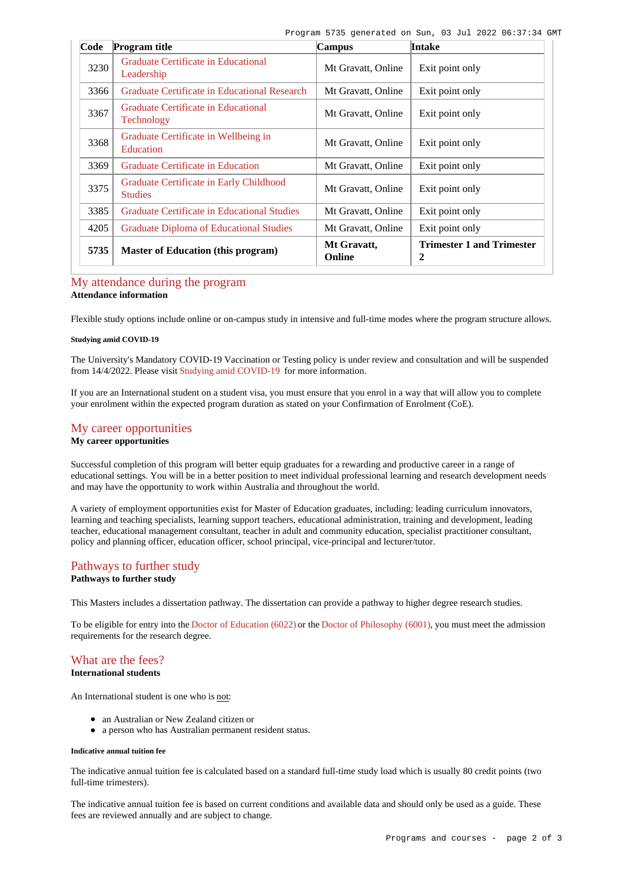| Code | <b>Program title</b>                                      | Campus                | <b>Intake</b>                                   |
|------|-----------------------------------------------------------|-----------------------|-------------------------------------------------|
| 3230 | Graduate Certificate in Educational<br>Leadership         | Mt Gravatt, Online    | Exit point only                                 |
| 3366 | Graduate Certificate in Educational Research              | Mt Gravatt, Online    | Exit point only                                 |
| 3367 | Graduate Certificate in Educational<br>Technology         | Mt Gravatt, Online    | Exit point only                                 |
| 3368 | Graduate Certificate in Wellbeing in<br>Education         | Mt Gravatt, Online    | Exit point only                                 |
| 3369 | Graduate Certificate in Education                         | Mt Gravatt, Online    | Exit point only                                 |
| 3375 | Graduate Certificate in Early Childhood<br><b>Studies</b> | Mt Gravatt, Online    | Exit point only                                 |
| 3385 | <b>Graduate Certificate in Educational Studies</b>        | Mt Gravatt, Online    | Exit point only                                 |
| 4205 | Graduate Diploma of Educational Studies                   | Mt Gravatt, Online    | Exit point only                                 |
| 5735 | <b>Master of Education (this program)</b>                 | Mt Gravatt,<br>Online | <b>Trimester 1 and Trimester</b><br>$\mathbf 2$ |

# [My attendance during the program](https://www148.griffith.edu.au/programs-courses/Program/5735/Overview/International#attendance)

# **Attendance information**

Flexible study options include online or on-campus study in intensive and full-time modes where the program structure allows.

#### **Studying amid COVID-19**

The University's Mandatory COVID-19 Vaccination or Testing policy is under review and consultation and will be suspended from 14/4/2022. Please visit [Studying amid COVID-19](https://www.griffith.edu.au/coronavirus/studying-amid-covid-19) for more information.

If you are an International student on a student visa, you must ensure that you enrol in a way that will allow you to complete your enrolment within the expected program duration as stated on your Confirmation of Enrolment (CoE).

## [My career opportunities](https://www148.griffith.edu.au/programs-courses/Program/5735/Overview/International#opportunities) **My career opportunities**

Successful completion of this program will better equip graduates for a rewarding and productive career in a range of educational settings. You will be in a better position to meet individual professional learning and research development needs and may have the opportunity to work within Australia and throughout the world.

A variety of employment opportunities exist for Master of Education graduates, including: leading curriculum innovators, learning and teaching specialists, learning support teachers, educational administration, training and development, leading teacher, educational management consultant, teacher in adult and community education, specialist practitioner consultant, policy and planning officer, education officer, school principal, vice-principal and lecturer/tutor.

## [Pathways to further study](https://www148.griffith.edu.au/programs-courses/Program/5735/Overview/International#pathways)

# **Pathways to further study**

This Masters includes a dissertation pathway. The dissertation can provide a pathway to higher degree research studies.

To be eligible for entry into the [Doctor of Education \(6022\)](https://www148.griffith.edu.au/Search/Results?SearchText=6022) or the [Doctor of Philosophy \(6001\)](https://www148.griffith.edu.au/Search/Results?SearchText=6001), you must meet the admission requirements for the research degree.

### [What are the fees?](https://www148.griffith.edu.au/programs-courses/Program/5735/Overview/International#fees) **International students**

An International student is one who is not:

- an Australian or New Zealand citizen or
- a person who has Australian permanent resident status.

#### **Indicative annual tuition fee**

The indicative annual tuition fee is calculated based on a standard full-time study load which is usually 80 credit points (two full-time trimesters).

The indicative annual tuition fee is based on current conditions and available data and should only be used as a guide. These fees are reviewed annually and are subject to change.